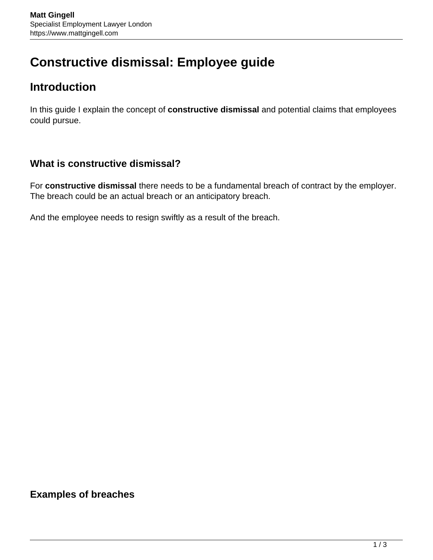# **Constructive dismissal: Employee guide**

## **Introduction**

In this guide I explain the concept of **constructive dismissal** and potential claims that employees could pursue.

## **What is constructive dismissal?**

For **constructive dismissal** there needs to be a fundamental breach of contract by the employer. The breach could be an actual breach or an anticipatory breach.

And the employee needs to resign swiftly as a result of the breach.

**Examples of breaches**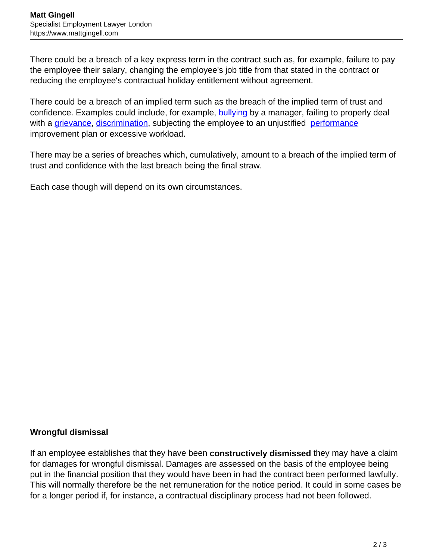There could be a breach of a key express term in the contract such as, for example, failure to pay the employee their salary, changing the employee's job title from that stated in the contract or reducing the employee's contractual holiday entitlement without agreement.

There could be a breach of an implied term such as the breach of the implied term of trust and confidence. Examples could include, for example, **bullying** by a manager, failing to properly deal with a [grievance](https://www.mattgingell.com/grievances/), [discrimination](https://www.mattgingell.com/discrimination-law/), subjecting the employee to an unjustified [performance](https://www.mattgingell.com/managing-performance/) improvement plan or excessive workload.

There may be a series of breaches which, cumulatively, amount to a breach of the implied term of trust and confidence with the last breach being the final straw.

Each case though will depend on its own circumstances.

#### **Wrongful dismissal**

If an employee establishes that they have been **constructively dismissed** they may have a claim for damages for wrongful dismissal. Damages are assessed on the basis of the employee being put in the financial position that they would have been in had the contract been performed lawfully. This will normally therefore be the net remuneration for the notice period. It could in some cases be for a longer period if, for instance, a contractual disciplinary process had not been followed.